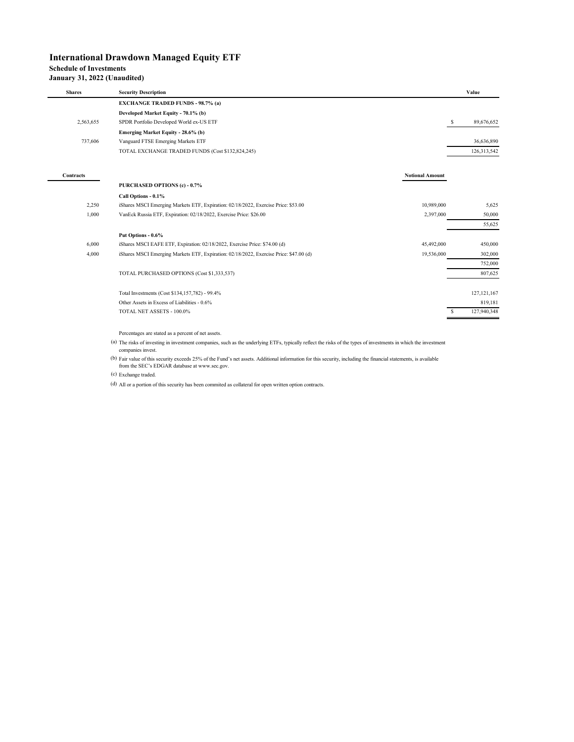## **International Drawdown Managed Equity ETF**

# **Schedule of Investments**

### **January 31, 2022 (Unaudited)**

| <b>Shares</b>    | <b>Security Description</b>                                                            |                        | Value           |
|------------------|----------------------------------------------------------------------------------------|------------------------|-----------------|
|                  | <b>EXCHANGE TRADED FUNDS - 98.7% (a)</b>                                               |                        |                 |
|                  | Developed Market Equity - 70.1% (b)                                                    |                        |                 |
| 2,563,655        | SPDR Portfolio Developed World ex-US ETF                                               |                        | s<br>89,676,652 |
|                  | Emerging Market Equity - 28.6% (b)                                                     |                        |                 |
| 737,606          | Vanguard FTSE Emerging Markets ETF                                                     |                        | 36,636,890      |
|                  | TOTAL EXCHANGE TRADED FUNDS (Cost \$132,824,245)                                       |                        | 126,313,542     |
|                  |                                                                                        |                        |                 |
| <b>Contracts</b> |                                                                                        | <b>Notional Amount</b> |                 |
|                  | PURCHASED OPTIONS (c) - 0.7%                                                           |                        |                 |
|                  | Call Options - 0.1%                                                                    |                        |                 |
| 2.250            | iShares MSCI Emerging Markets ETF, Expiration: 02/18/2022, Exercise Price: \$53.00     | 10,989,000             | 5,625           |
| 1,000            | VanEck Russia ETF, Expiration: 02/18/2022, Exercise Price: \$26.00                     | 2,397,000              | 50,000          |
|                  |                                                                                        |                        | 55,625          |
|                  | Put Options - 0.6%                                                                     |                        |                 |
| 6,000            | iShares MSCI EAFE ETF, Expiration: 02/18/2022, Exercise Price: \$74.00 (d)             | 45,492,000             | 450,000         |
| 4,000            | iShares MSCI Emerging Markets ETF, Expiration: 02/18/2022, Exercise Price: \$47.00 (d) | 19,536,000             | 302,000         |
|                  |                                                                                        |                        | 752,000         |
|                  | TOTAL PURCHASED OPTIONS (Cost \$1,333,537)                                             |                        | 807,625         |
|                  | Total Investments (Cost \$134,157,782) - 99.4%                                         |                        | 127, 121, 167   |
|                  | Other Assets in Excess of Liabilities - 0.6%                                           |                        | 819.181         |
|                  | TOTAL NET ASSETS - 100.0%                                                              |                        | 127,940,348     |
|                  |                                                                                        |                        |                 |

Percentages are stated as a percent of net assets.

(a) The risks of investing in investment companies, such as the underlying ETFs, typically reflect the risks of the types of investments in which the investment companies invest.

(b) Fair value of this security exceeds 25% of the Fund's net assets. Additional information for this security, including the financial statements, is available from the SEC's EDGAR database at www.sec.gov.

(c) Exchange traded.

(d) All or a portion of this security has been commited as collateral for open written option contracts.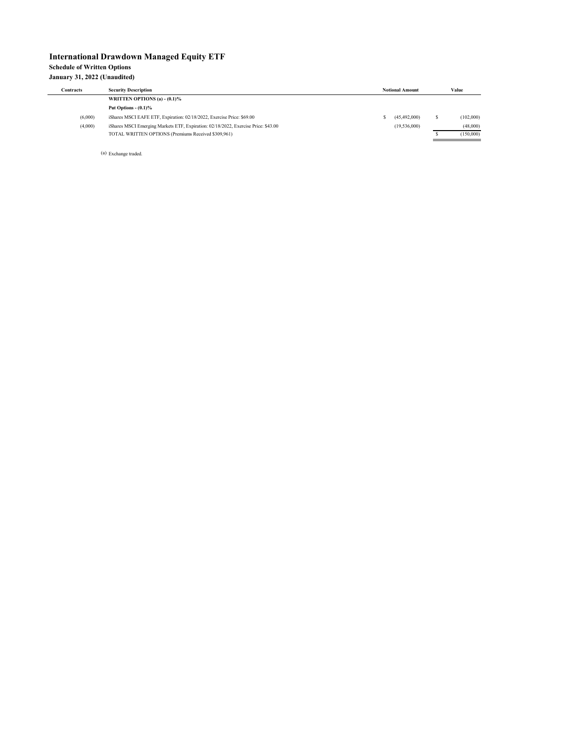#### **International Drawdown Managed Equity ETF Schedule of Written Options January 31, 2022 (Unaudited)**

| <b>Contracts</b> | <b>Security Description</b>                                                        |  |              | Value     |  |
|------------------|------------------------------------------------------------------------------------|--|--------------|-----------|--|
|                  | WRITTEN OPTIONS (a) $-$ (0.1)%                                                     |  |              |           |  |
|                  | Put Options $ (0.1)$ %                                                             |  |              |           |  |
| (6,000)          | iShares MSCI EAFE ETF, Expiration: 02/18/2022, Exercise Price: \$69.00             |  | (45.492.000) | (102,000) |  |
| (4,000)          | iShares MSCI Emerging Markets ETF, Expiration: 02/18/2022, Exercise Price: \$43.00 |  | (19,536,000) | (48,000)  |  |
|                  | TOTAL WRITTEN OPTIONS (Premiums Received \$309,961)                                |  |              | (150,000) |  |

(a) Exchange traded.